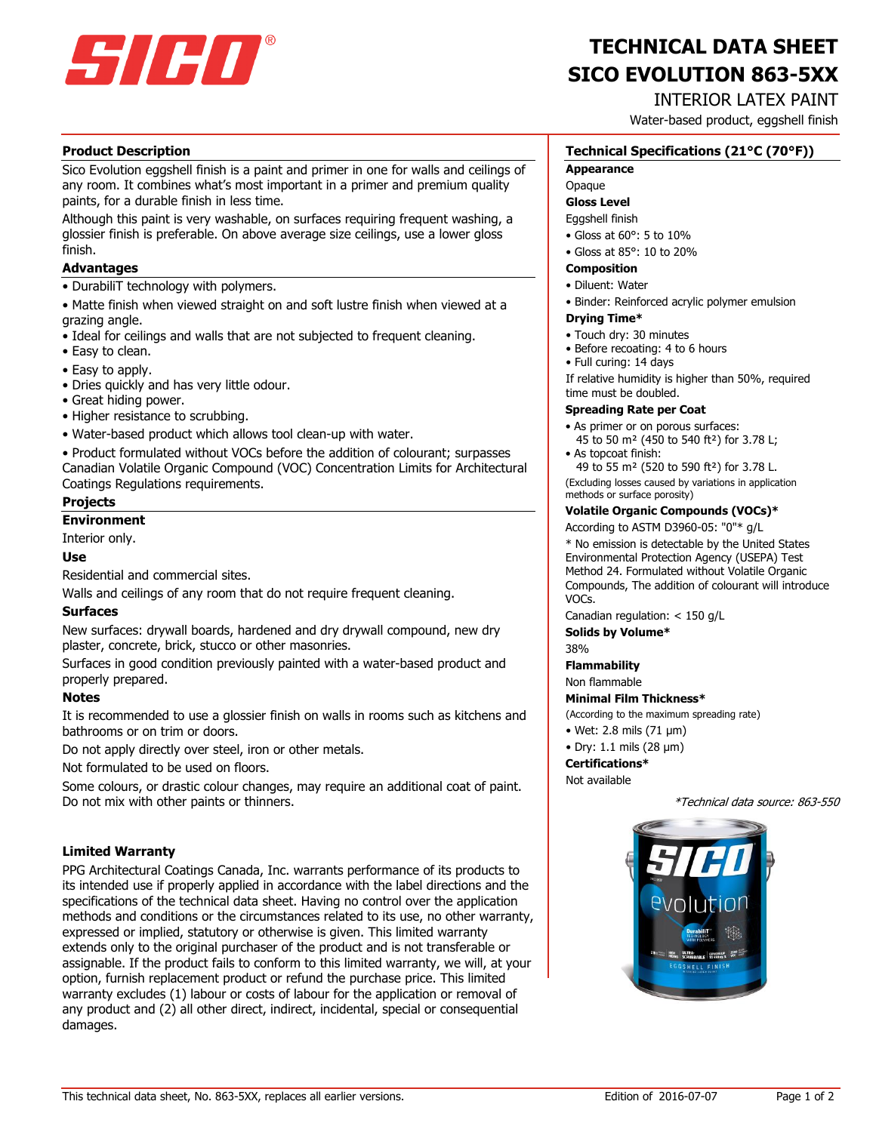

# **SICO EVOLUTION 863-5XX TECHNICAL DATA SHEET**

# INTERIOR LATEX PAINT

Water-based product, eggshell finish

# **Product Description**

Sico Evolution eggshell finish is a paint and primer in one for walls and ceilings of any room. It combines what's most important in a primer and premium quality paints, for a durable finish in less time.

Although this paint is very washable, on surfaces requiring frequent washing, a glossier finish is preferable. On above average size ceilings, use a lower gloss finish.

### **Advantages**

• DurabiliT technology with polymers.

• Matte finish when viewed straight on and soft lustre finish when viewed at a grazing angle.

- Ideal for ceilings and walls that are not subjected to frequent cleaning.
- Easy to clean.
- Easy to apply.
- Dries quickly and has very little odour.
- Great hiding power.
- Higher resistance to scrubbing.
- Water-based product which allows tool clean-up with water.

• Product formulated without VOCs before the addition of colourant; surpasses Canadian Volatile Organic Compound (VOC) Concentration Limits for Architectural Coatings Regulations requirements.

# **Projects**

# **Environment**

Interior only.

# **Use**

Residential and commercial sites.

Walls and ceilings of any room that do not require frequent cleaning.

# **Surfaces**

New surfaces: drywall boards, hardened and dry drywall compound, new dry plaster, concrete, brick, stucco or other masonries.

Surfaces in good condition previously painted with a water-based product and properly prepared.

# **Notes**

It is recommended to use a glossier finish on walls in rooms such as kitchens and bathrooms or on trim or doors.

Do not apply directly over steel, iron or other metals.

Not formulated to be used on floors.

Some colours, or drastic colour changes, may require an additional coat of paint. Do not mix with other paints or thinners.

# **Limited Warranty**

PPG Architectural Coatings Canada, Inc. warrants performance of its products to its intended use if properly applied in accordance with the label directions and the specifications of the technical data sheet. Having no control over the application methods and conditions or the circumstances related to its use, no other warranty, expressed or implied, statutory or otherwise is given. This limited warranty extends only to the original purchaser of the product and is not transferable or assignable. If the product fails to conform to this limited warranty, we will, at your option, furnish replacement product or refund the purchase price. This limited warranty excludes (1) labour or costs of labour for the application or removal of any product and (2) all other direct, indirect, incidental, special or consequential damages.

# **Technical Specifications (21°C (70°F))**

#### **Appearance**

# **Opaque**

**Gloss Level**

Eggshell finish

- Gloss at 60°: 5 to 10%
- Gloss at 85°: 10 to 20%

# **Composition**

- Diluent: Water
- Binder: Reinforced acrylic polymer emulsion

#### **Drying Time\***

- Touch dry: 30 minutes
- Before recoating: 4 to 6 hours
- Full curing: 14 days

If relative humidity is higher than 50%, required time must be doubled.

#### **Spreading Rate per Coat**

• As primer or on porous surfaces:

- 45 to 50 m² (450 to 540 ft²) for 3.78 L; • As topcoat finish:
- 49 to 55 m² (520 to 590 ft²) for 3.78 L.

(Excluding losses caused by variations in application methods or surface porosity)

#### **Volatile Organic Compounds (VOCs)\***

According to ASTM D3960-05: "0"\* g/L

\* No emission is detectable by the United States Environmental Protection Agency (USEPA) Test Method 24. Formulated without Volatile Organic Compounds, The addition of colourant will introduce VOCs.

Canadian regulation: < 150 g/L

**Solids by Volume\***

38%

# **Flammability**

Non flammable

### **Minimal Film Thickness\***

(According to the maximum spreading rate)

- Wet: 2.8 mils (71 μm)
- Dry: 1.1 mils (28 μm)

#### **Certifications\***

Not available

\*Technical data source: 863-550